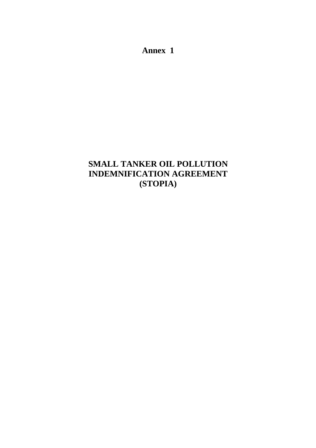**Annex 1** 

# **SMALL TANKER OIL POLLUTION INDEMNIFICATION AGREEMENT (STOPIA)**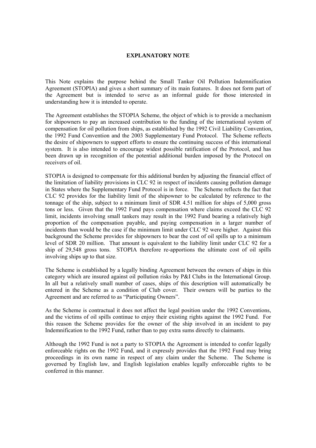#### **EXPLANATORY NOTE**

This Note explains the purpose behind the Small Tanker Oil Pollution Indemnification Agreement (STOPIA) and gives a short summary of its main features. It does not form part of the Agreement but is intended to serve as an informal guide for those interested in understanding how it is intended to operate.

The Agreement establishes the STOPIA Scheme, the object of which is to provide a mechanism for shipowners to pay an increased contribution to the funding of the international system of compensation for oil pollution from ships, as established by the 1992 Civil Liability Convention, the 1992 Fund Convention and the 2003 Supplementary Fund Protocol. The Scheme reflects the desire of shipowners to support efforts to ensure the continuing success of this international system. It is also intended to encourage widest possible ratification of the Protocol, and has been drawn up in recognition of the potential additional burden imposed by the Protocol on receivers of oil.

STOPIA is designed to compensate for this additional burden by adjusting the financial effect of the limitation of liability provisions in CLC 92 in respect of incidents causing pollution damage in States where the Supplementary Fund Protocol is in force. The Scheme reflects the fact that CLC 92 provides for the liability limit of the shipowner to be calculated by reference to the tonnage of the ship, subject to a minimum limit of SDR 4.51 million for ships of 5,000 gross tons or less. Given that the 1992 Fund pays compensation where claims exceed the CLC 92 limit, incidents involving small tankers may result in the 1992 Fund bearing a relatively high proportion of the compensation payable, and paying compensation in a larger number of incidents than would be the case if the minimum limit under CLC 92 were higher. Against this background the Scheme provides for shipowners to bear the cost of oil spills up to a minimum level of SDR 20 million. That amount is equivalent to the liability limit under CLC 92 for a ship of 29,548 gross tons. STOPIA therefore re-apportions the ultimate cost of oil spills involving ships up to that size.

The Scheme is established by a legally binding Agreement between the owners of ships in this category which are insured against oil pollution risks by P&I Clubs in the International Group. In all but a relatively small number of cases, ships of this description will automatically be entered in the Scheme as a condition of Club cover. Their owners will be parties to the Agreement and are referred to as "Participating Owners".

As the Scheme is contractual it does not affect the legal position under the 1992 Conventions, and the victims of oil spills continue to enjoy their existing rights against the 1992 Fund. For this reason the Scheme provides for the owner of the ship involved in an incident to pay Indemnification to the 1992 Fund, rather than to pay extra sums directly to claimants.

Although the 1992 Fund is not a party to STOPIA the Agreement is intended to confer legally enforceable rights on the 1992 Fund, and it expressly provides that the 1992 Fund may bring proceedings in its own name in respect of any claim under the Scheme. The Scheme is governed by English law, and English legislation enables legally enforceable rights to be conferred in this manner.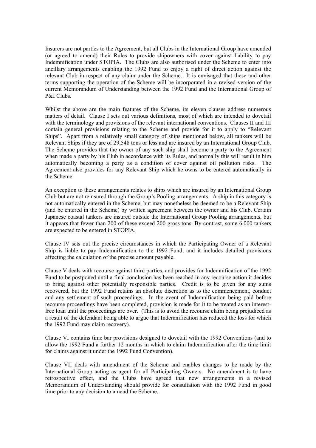Insurers are not parties to the Agreement, but all Clubs in the International Group have amended (or agreed to amend) their Rules to provide shipowners with cover against liability to pay Indemnification under STOPIA. The Clubs are also authorised under the Scheme to enter into ancillary arrangements enabling the 1992 Fund to enjoy a right of direct action against the relevant Club in respect of any claim under the Scheme. It is envisaged that these and other terms supporting the operation of the Scheme will be incorporated in a revised version of the current Memorandum of Understanding between the 1992 Fund and the International Group of P&I Clubs.

Whilst the above are the main features of the Scheme, its eleven clauses address numerous matters of detail. Clause I sets out various definitions, most of which are intended to dovetail with the terminology and provisions of the relevant international conventions. Clauses II and III contain general provisions relating to the Scheme and provide for it to apply to "Relevant Ships". Apart from a relatively small category of ships mentioned below, all tankers will be Relevant Ships if they are of 29,548 tons or less and are insured by an International Group Club. The Scheme provides that the owner of any such ship shall become a party to the Agreement when made a party by his Club in accordance with its Rules, and normally this will result in him automatically becoming a party as a condition of cover against oil pollution risks. The Agreement also provides for any Relevant Ship which he owns to be entered automatically in the Scheme.

An exception to these arrangements relates to ships which are insured by an International Group Club but are not reinsured through the Group's Pooling arrangements. A ship in this category is not automatically entered in the Scheme, but may nonetheless be deemed to be a Relevant Ship (and be entered in the Scheme) by written agreement between the owner and his Club. Certain Japanese coastal tankers are insured outside the International Group Pooling arrangements, but it appears that fewer than 200 of these exceed 200 gross tons. By contrast, some 6,000 tankers are expected to be entered in STOPIA.

Clause IV sets out the precise circumstances in which the Participating Owner of a Relevant Ship is liable to pay Indemnification to the 1992 Fund, and it includes detailed provisions affecting the calculation of the precise amount payable.

Clause V deals with recourse against third parties, and provides for Indemnification of the 1992 Fund to be postponed until a final conclusion has been reached in any recourse action it decides to bring against other potentially responsible parties. Credit is to be given for any sums recovered, but the 1992 Fund retains an absolute discretion as to the commencement, conduct and any settlement of such proceedings. In the event of Indemnification being paid before recourse proceedings have been completed, provision is made for it to be treated as an interestfree loan until the proceedings are over. (This is to avoid the recourse claim being prejudiced as a result of the defendant being able to argue that Indemnification has reduced the loss for which the 1992 Fund may claim recovery).

Clause VI contains time bar provisions designed to dovetail with the 1992 Conventions (and to allow the 1992 Fund a further 12 months in which to claim Indemnification after the time limit for claims against it under the 1992 Fund Convention).

Clause VII deals with amendment of the Scheme and enables changes to be made by the International Group acting as agent for all Participating Owners. No amendment is to have retrospective effect, and the Clubs have agreed that new arrangements in a revised Memorandum of Understanding should provide for consultation with the 1992 Fund in good time prior to any decision to amend the Scheme.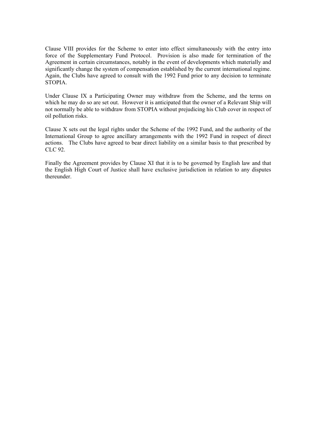Clause VIII provides for the Scheme to enter into effect simultaneously with the entry into force of the Supplementary Fund Protocol. Provision is also made for termination of the Agreement in certain circumstances, notably in the event of developments which materially and significantly change the system of compensation established by the current international regime. Again, the Clubs have agreed to consult with the 1992 Fund prior to any decision to terminate **STOPIA** 

Under Clause IX a Participating Owner may withdraw from the Scheme, and the terms on which he may do so are set out. However it is anticipated that the owner of a Relevant Ship will not normally be able to withdraw from STOPIA without prejudicing his Club cover in respect of oil pollution risks.

Clause X sets out the legal rights under the Scheme of the 1992 Fund, and the authority of the International Group to agree ancillary arrangements with the 1992 Fund in respect of direct actions. The Clubs have agreed to bear direct liability on a similar basis to that prescribed by CLC 92.

Finally the Agreement provides by Clause XI that it is to be governed by English law and that the English High Court of Justice shall have exclusive jurisdiction in relation to any disputes thereunder.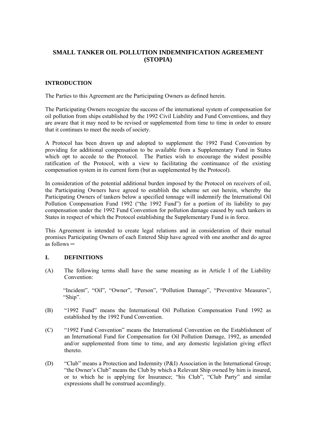# **SMALL TANKER OIL POLLUTION INDEMNIFICATION AGREEMENT (STOPIA)**

#### **INTRODUCTION**

The Parties to this Agreement are the Participating Owners as defined herein.

The Participating Owners recognize the success of the international system of compensation for oil pollution from ships established by the 1992 Civil Liability and Fund Conventions, and they are aware that it may need to be revised or supplemented from time to time in order to ensure that it continues to meet the needs of society.

A Protocol has been drawn up and adopted to supplement the 1992 Fund Convention by providing for additional compensation to be available from a Supplementary Fund in States which opt to accede to the Protocol. The Parties wish to encourage the widest possible ratification of the Protocol, with a view to facilitating the continuance of the existing compensation system in its current form (but as supplemented by the Protocol).

In consideration of the potential additional burden imposed by the Protocol on receivers of oil, the Participating Owners have agreed to establish the scheme set out herein, whereby the Participating Owners of tankers below a specified tonnage will indemnify the International Oil Pollution Compensation Fund 1992 ("the 1992 Fund") for a portion of its liability to pay compensation under the 1992 Fund Convention for pollution damage caused by such tankers in States in respect of which the Protocol establishing the Supplementary Fund is in force.

This Agreement is intended to create legal relations and in consideration of their mutual promises Participating Owners of each Entered Ship have agreed with one another and do agree as follows ─

#### **I. DEFINITIONS**

(A) The following terms shall have the same meaning as in Article I of the Liability Convention:

"Incident", "Oil", "Owner", "Person", "Pollution Damage", "Preventive Measures", "Ship".

- (B) "1992 Fund" means the International Oil Pollution Compensation Fund 1992 as established by the 1992 Fund Convention.
- (C) "1992 Fund Convention" means the International Convention on the Establishment of an International Fund for Compensation for Oil Pollution Damage, 1992, as amended and/or supplemented from time to time, and any domestic legislation giving effect thereto.
- (D) "Club" means a Protection and Indemnity (P&I) Association in the International Group; "the Owner's Club" means the Club by which a Relevant Ship owned by him is insured, or to which he is applying for Insurance; "his Club", "Club Party" and similar expressions shall be construed accordingly.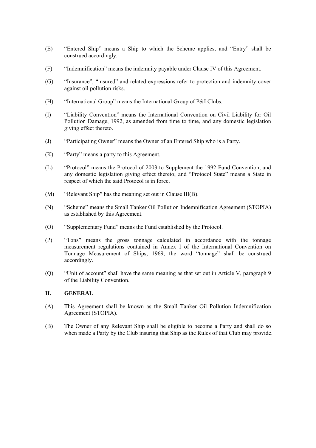- (E) "Entered Ship" means a Ship to which the Scheme applies, and "Entry" shall be construed accordingly.
- (F) "Indemnification" means the indemnity payable under Clause IV of this Agreement.
- (G) "Insurance", "insured" and related expressions refer to protection and indemnity cover against oil pollution risks.
- (H) "International Group" means the International Group of P&I Clubs.
- (I) "Liability Convention" means the International Convention on Civil Liability for Oil Pollution Damage, 1992, as amended from time to time, and any domestic legislation giving effect thereto.
- (J) "Participating Owner" means the Owner of an Entered Ship who is a Party.
- (K) "Party" means a party to this Agreement.
- (L) "Protocol" means the Protocol of 2003 to Supplement the 1992 Fund Convention, and any domestic legislation giving effect thereto; and "Protocol State" means a State in respect of which the said Protocol is in force.
- (M) "Relevant Ship" has the meaning set out in Clause III(B).
- (N) "Scheme" means the Small Tanker Oil Pollution Indemnification Agreement (STOPIA) as established by this Agreement.
- (O) "Supplementary Fund" means the Fund established by the Protocol.
- (P) "Tons" means the gross tonnage calculated in accordance with the tonnage measurement regulations contained in Annex I of the International Convention on Tonnage Measurement of Ships, 1969; the word "tonnage" shall be construed accordingly.
- (Q) "Unit of account" shall have the same meaning as that set out in Article V, paragraph 9 of the Liability Convention.

# **II. GENERAL**

- (A) This Agreement shall be known as the Small Tanker Oil Pollution Indemnification Agreement (STOPIA).
- (B) The Owner of any Relevant Ship shall be eligible to become a Party and shall do so when made a Party by the Club insuring that Ship as the Rules of that Club may provide.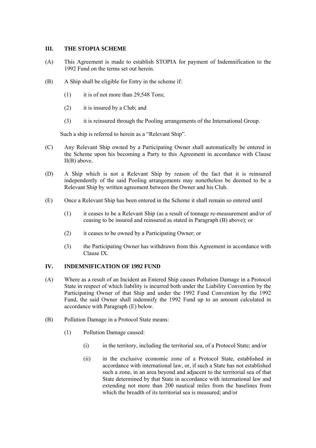#### **III. THE STOPIA SCHEME**

- (A) This Agreement is made to establish STOPIA for payment of Indemnification to the 1992 Fund on the terms set out herein.
- (B) A Ship shall be eligible for Entry in the scheme if:
	- (1) it is of not more than 29,548 Tons;
	- (2) it is insured by a Club; and
	- (3) it is reinsured through the Pooling arrangements of the International Group.

Such a ship is referred to herein as a "Relevant Ship".

- (C) Any Relevant Ship owned by a Participating Owner shall automatically be entered in the Scheme upon his becoming a Party to this Agreement in accordance with Clause II(B) above.
- (D) A Ship which is not a Relevant Ship by reason of the fact that it is reinsured independently of the said Pooling arrangements may nonetheless be deemed to be a Relevant Ship by written agreement between the Owner and his Club.
- (E) Once a Relevant Ship has been entered in the Scheme it shall remain so entered until
	- (1) it ceases to be a Relevant Ship (as a result of tonnage re-measurement and/or of ceasing to be insured and reinsured as stated in Paragraph (B) above); or
	- (2) it ceases to be owned by a Participating Owner; or
	- (3) the Participating Owner has withdrawn from this Agreement in accordance with Clause IX.

#### **IV. INDEMNIFICATION OF 1992 FUND**

- (A) Where as a result of an Incident an Entered Ship causes Pollution Damage in a Protocol State in respect of which liability is incurred both under the Liability Convention by the Participating Owner of that Ship and under the 1992 Fund Convention by the 1992 Fund, the said Owner shall indemnify the 1992 Fund up to an amount calculated in accordance with Paragraph (E) below.
- (B) Pollution Damage in a Protocol State means:
	- (1) Pollution Damage caused:
		- (i) in the territory, including the territorial sea, of a Protocol State; and/or
		- (ii) in the exclusive economic zone of a Protocol State, established in accordance with international law, or, if such a State has not established such a zone, in an area beyond and adjacent to the territorial sea of that State determined by that State in accordance with international law and extending not more than 200 nautical miles from the baselines from which the breadth of its territorial sea is measured; and/or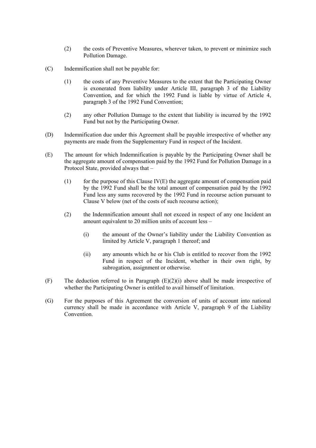- (2) the costs of Preventive Measures, wherever taken, to prevent or minimize such Pollution Damage.
- (C) Indemnification shall not be payable for:
	- (1) the costs of any Preventive Measures to the extent that the Participating Owner is exonerated from liability under Article III, paragraph 3 of the Liability Convention, and for which the 1992 Fund is liable by virtue of Article 4, paragraph 3 of the 1992 Fund Convention;
	- (2) any other Pollution Damage to the extent that liability is incurred by the 1992 Fund but not by the Participating Owner.
- (D) Indemnification due under this Agreement shall be payable irrespective of whether any payments are made from the Supplementary Fund in respect of the Incident.
- (E) The amount for which Indemnification is payable by the Participating Owner shall be the aggregate amount of compensation paid by the 1992 Fund for Pollution Damage in a Protocol State, provided always that –
	- $(1)$  for the purpose of this Clause IV(E) the aggregate amount of compensation paid by the 1992 Fund shall be the total amount of compensation paid by the 1992 Fund less any sums recovered by the 1992 Fund in recourse action pursuant to Clause V below (net of the costs of such recourse action);
	- (2) the Indemnification amount shall not exceed in respect of any one Incident an amount equivalent to 20 million units of account less –
		- (i) the amount of the Owner's liability under the Liability Convention as limited by Article V, paragraph 1 thereof; and
		- (ii) any amounts which he or his Club is entitled to recover from the 1992 Fund in respect of the Incident, whether in their own right, by subrogation, assignment or otherwise.
- (F) The deduction referred to in Paragraph (E)(2)(i) above shall be made irrespective of whether the Participating Owner is entitled to avail himself of limitation.
- (G) For the purposes of this Agreement the conversion of units of account into national currency shall be made in accordance with Article V, paragraph 9 of the Liability Convention.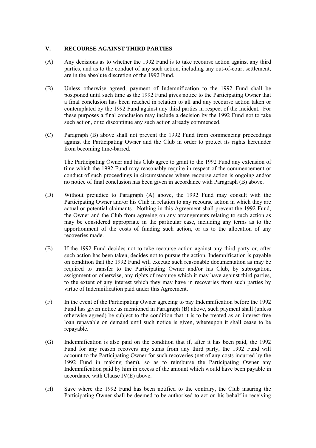#### **V. RECOURSE AGAINST THIRD PARTIES**

- (A) Any decisions as to whether the 1992 Fund is to take recourse action against any third parties, and as to the conduct of any such action, including any out-of-court settlement, are in the absolute discretion of the 1992 Fund.
- (B) Unless otherwise agreed, payment of Indemnification to the 1992 Fund shall be postponed until such time as the 1992 Fund gives notice to the Participating Owner that a final conclusion has been reached in relation to all and any recourse action taken or contemplated by the 1992 Fund against any third parties in respect of the Incident. For these purposes a final conclusion may include a decision by the 1992 Fund not to take such action, or to discontinue any such action already commenced.
- (C) Paragraph (B) above shall not prevent the 1992 Fund from commencing proceedings against the Participating Owner and the Club in order to protect its rights hereunder from becoming time-barred.

The Participating Owner and his Club agree to grant to the 1992 Fund any extension of time which the 1992 Fund may reasonably require in respect of the commencement or conduct of such proceedings in circumstances where recourse action is ongoing and/or no notice of final conclusion has been given in accordance with Paragraph (B) above.

- (D) Without prejudice to Paragraph (A) above, the 1992 Fund may consult with the Participating Owner and/or his Club in relation to any recourse action in which they are actual or potential claimants. Nothing in this Agreement shall prevent the 1992 Fund, the Owner and the Club from agreeing on any arrangements relating to such action as may be considered appropriate in the particular case, including any terms as to the apportionment of the costs of funding such action, or as to the allocation of any recoveries made.
- (E) If the 1992 Fund decides not to take recourse action against any third party or, after such action has been taken, decides not to pursue the action, Indemnification is payable on condition that the 1992 Fund will execute such reasonable documentation as may be required to transfer to the Participating Owner and/or his Club, by subrogation, assignment or otherwise, any rights of recourse which it may have against third parties, to the extent of any interest which they may have in recoveries from such parties by virtue of Indemnification paid under this Agreement.
- (F) In the event of the Participating Owner agreeing to pay Indemnification before the 1992 Fund has given notice as mentioned in Paragraph (B) above, such payment shall (unless otherwise agreed) be subject to the condition that it is to be treated as an interest-free loan repayable on demand until such notice is given, whereupon it shall cease to be repayable.
- (G) Indemnification is also paid on the condition that if, after it has been paid, the 1992 Fund for any reason recovers any sums from any third party, the 1992 Fund will account to the Participating Owner for such recoveries (net of any costs incurred by the 1992 Fund in making them), so as to reimburse the Participating Owner any Indemnification paid by him in excess of the amount which would have been payable in accordance with Clause IV(E) above.
- (H) Save where the 1992 Fund has been notified to the contrary, the Club insuring the Participating Owner shall be deemed to be authorised to act on his behalf in receiving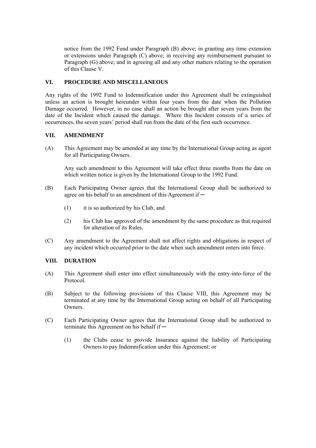notice from the 1992 Fund under Paragraph (B) above; in granting any time extension or extensions under Paragraph (C) above; in receiving any reimbursement pursuant to Paragraph (G) above; and in agreeing all and any other matters relating to the operation of this Clause V.

### **VI. PROCEDURE AND MISCELLANEOUS**

Any rights of the 1992 Fund to Indemnification under this Agreement shall be extinguished unless an action is brought hereunder within four years from the date when the Pollution Damage occurred. However, in no case shall an action be brought after seven years from the date of the Incident which caused the damage. Where this Incident consists of a series of occurrences, the seven years' period shall run from the date of the first such occurrence.

#### **VII. AMENDMENT**

(A) This Agreement may be amended at any time by the International Group acting as agent for all Participating Owners.

Any such amendment to this Agreement will take effect three months from the date on which written notice is given by the International Group to the 1992 Fund.

- (B) Each Participating Owner agrees that the International Group shall be authorized to agree on his behalf to an amendment of this Agreement if  $-$ 
	- (1) it is so authorized by his Club, and
	- (2) his Club has approved of the amendment by the same procedure as that required for alteration of its Rules.
- (C) Any amendment to the Agreement shall not affect rights and obligations in respect of any incident which occurred prior to the date when such amendment enters into force.

# **VIII. DURATION**

- (A) This Agreement shall enter into effect simultaneously with the entry-into-force of the Protocol.
- (B) Subject to the following provisions of this Clause VIII, this Agreement may be terminated at any time by the International Group acting on behalf of all Participating **Owners**
- (C) Each Participating Owner agrees that the International Group shall be authorized to terminate this Agreement on his behalf if  $-$ 
	- (1) the Clubs cease to provide Insurance against the liability of Participating Owners to pay Indemnification under this Agreement; or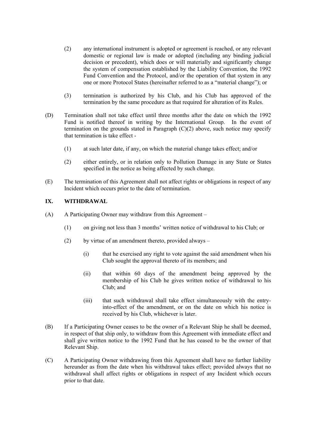- (2) any international instrument is adopted or agreement is reached, or any relevant domestic or regional law is made or adopted (including any binding judicial decision or precedent), which does or will materially and significantly change the system of compensation established by the Liability Convention, the 1992 Fund Convention and the Protocol, and/or the operation of that system in any one or more Protocol States (hereinafter referred to as a "material change"); or
- (3) termination is authorized by his Club, and his Club has approved of the termination by the same procedure as that required for alteration of its Rules.
- (D) Termination shall not take effect until three months after the date on which the 1992 Fund is notified thereof in writing by the International Group. In the event of termination on the grounds stated in Paragraph  $(C)(2)$  above, such notice may specify that termination is take effect -
	- (1) at such later date, if any, on which the material change takes effect; and/or
	- (2) either entirely, or in relation only to Pollution Damage in any State or States specified in the notice as being affected by such change.
- (E) The termination of this Agreement shall not affect rights or obligations in respect of any Incident which occurs prior to the date of termination.

# **IX. WITHDRAWAL**

- (A) A Participating Owner may withdraw from this Agreement
	- (1) on giving not less than 3 months' written notice of withdrawal to his Club; or
	- (2) by virtue of an amendment thereto, provided always
		- (i) that he exercised any right to vote against the said amendment when his Club sought the approval thereto of its members; and
		- (ii) that within 60 days of the amendment being approved by the membership of his Club he gives written notice of withdrawal to his Club; and
		- (iii) that such withdrawal shall take effect simultaneously with the entryinto-effect of the amendment, or on the date on which his notice is received by his Club, whichever is later.
- (B) If a Participating Owner ceases to be the owner of a Relevant Ship he shall be deemed, in respect of that ship only, to withdraw from this Agreement with immediate effect and shall give written notice to the 1992 Fund that he has ceased to be the owner of that Relevant Ship.
- (C) A Participating Owner withdrawing from this Agreement shall have no further liability hereunder as from the date when his withdrawal takes effect; provided always that no withdrawal shall affect rights or obligations in respect of any Incident which occurs prior to that date.